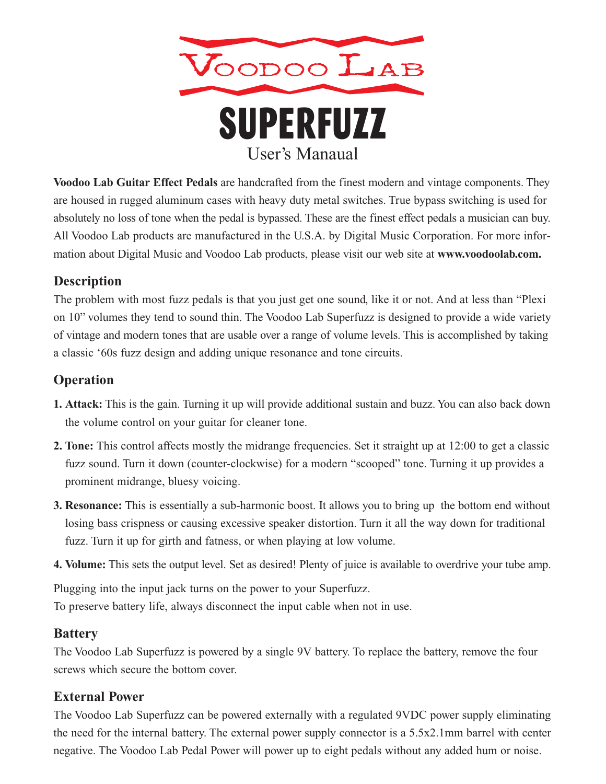

**Voodoo Lab Guitar Effect Pedals** are handcrafted from the finest modern and vintage components. They are housed in rugged aluminum cases with heavy duty metal switches. True bypass switching is used for absolutely no loss of tone when the pedal is bypassed. These are the finest effect pedals a musician can buy. All Voodoo Lab products are manufactured in the U.S.A. by Digital Music Corporation. For more information about Digital Music and Voodoo Lab products, please visit our web site at **www.voodoolab.com.**

### **Description**

The problem with most fuzz pedals is that you just get one sound, like it or not. And at less than "Plexi on 10" volumes they tend to sound thin. The Voodoo Lab Superfuzz is designed to provide a wide variety of vintage and modern tones that are usable over a range of volume levels. This is accomplished by taking a classic '60s fuzz design and adding unique resonance and tone circuits.

# **Operation**

- **1. Attack:** This is the gain. Turning it up will provide additional sustain and buzz. You can also back down the volume control on your guitar for cleaner tone.
- **2. Tone:** This control affects mostly the midrange frequencies. Set it straight up at 12:00 to get a classic fuzz sound. Turn it down (counter-clockwise) for a modern "scooped" tone. Turning it up provides a prominent midrange, bluesy voicing.
- **3. Resonance:** This is essentially a sub-harmonic boost. It allows you to bring up the bottom end without losing bass crispness or causing excessive speaker distortion. Turn it all the way down for traditional fuzz. Turn it up for girth and fatness, or when playing at low volume.
- **4. Volume:** This sets the output level. Set as desired! Plenty of juice is available to overdrive your tube amp.

Plugging into the input jack turns on the power to your Superfuzz. To preserve battery life, always disconnect the input cable when not in use.

### **Battery**

The Voodoo Lab Superfuzz is powered by a single 9V battery. To replace the battery, remove the four screws which secure the bottom cover.

## **External Power**

The Voodoo Lab Superfuzz can be powered externally with a regulated 9VDC power supply eliminating the need for the internal battery. The external power supply connector is a 5.5x2.1mm barrel with center negative. The Voodoo Lab Pedal Power will power up to eight pedals without any added hum or noise.